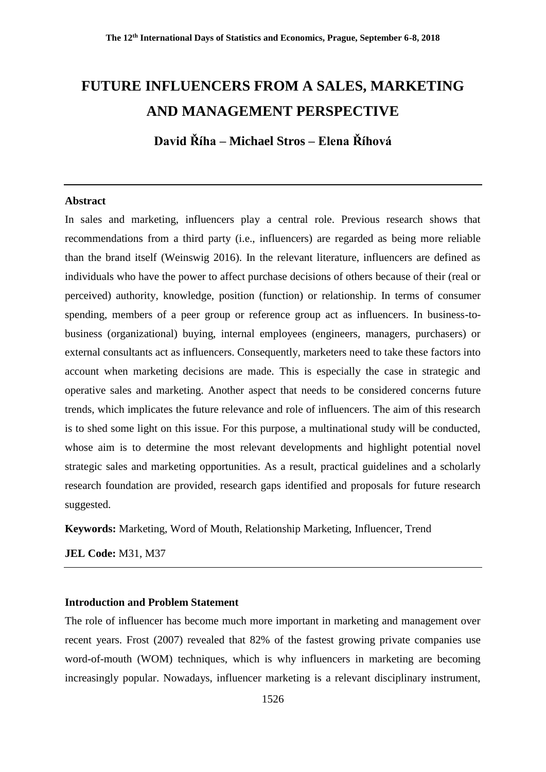# **FUTURE INFLUENCERS FROM A SALES, MARKETING AND MANAGEMENT PERSPECTIVE**

**David Říha – Michael Stros – Elena Říhová**

#### **Abstract**

In sales and marketing, influencers play a central role. Previous research shows that recommendations from a third party (i.e., influencers) are regarded as being more reliable than the brand itself (Weinswig 2016). In the relevant literature, influencers are defined as individuals who have the power to affect purchase decisions of others because of their (real or perceived) authority, knowledge, position (function) or relationship. In terms of consumer spending, members of a peer group or reference group act as influencers. In business-tobusiness (organizational) buying, internal employees (engineers, managers, purchasers) or external consultants act as influencers. Consequently, marketers need to take these factors into account when marketing decisions are made. This is especially the case in strategic and operative sales and marketing. Another aspect that needs to be considered concerns future trends, which implicates the future relevance and role of influencers. The aim of this research is to shed some light on this issue. For this purpose, a multinational study will be conducted, whose aim is to determine the most relevant developments and highlight potential novel strategic sales and marketing opportunities. As a result, practical guidelines and a scholarly research foundation are provided, research gaps identified and proposals for future research suggested.

**Keywords:** Marketing, Word of Mouth, Relationship Marketing, Influencer, Trend

**JEL Code:** M31, M37

## **Introduction and Problem Statement**

The role of influencer has become much more important in marketing and management over recent years. Frost (2007) revealed that 82% of the fastest growing private companies use word-of-mouth (WOM) techniques, which is why influencers in marketing are becoming increasingly popular. Nowadays, influencer marketing is a relevant disciplinary instrument,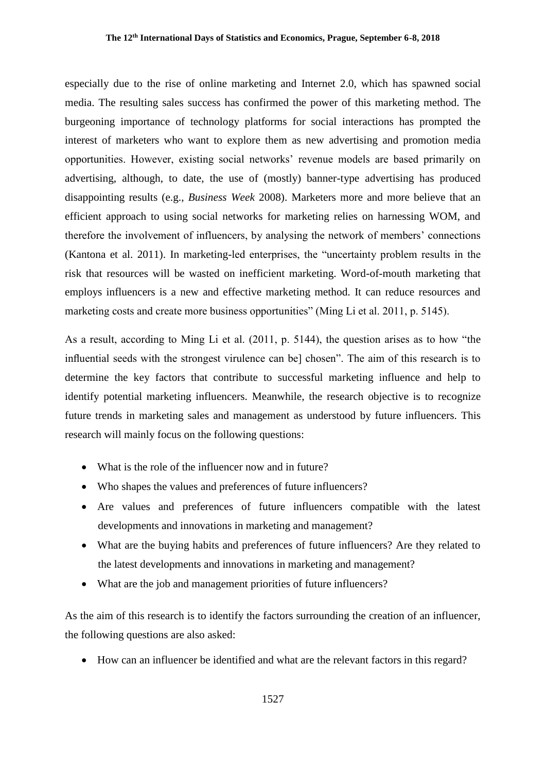especially due to the rise of online marketing and Internet 2.0, which has spawned social media. The resulting sales success has confirmed the power of this marketing method. The burgeoning importance of technology platforms for social interactions has prompted the interest of marketers who want to explore them as new advertising and promotion media opportunities. However, existing social networks' revenue models are based primarily on advertising, although, to date, the use of (mostly) banner-type advertising has produced disappointing results (e.g., *Business Week* 2008). Marketers more and more believe that an efficient approach to using social networks for marketing relies on harnessing WOM, and therefore the involvement of influencers, by analysing the network of members' connections (Kantona et al. 2011). In marketing-led enterprises, the "uncertainty problem results in the risk that resources will be wasted on inefficient marketing. Word-of-mouth marketing that employs influencers is a new and effective marketing method. It can reduce resources and marketing costs and create more business opportunities" (Ming Li et al. 2011, p. 5145).

As a result, according to Ming Li et al. (2011, p. 5144), the question arises as to how "the influential seeds with the strongest virulence can be] chosen". The aim of this research is to determine the key factors that contribute to successful marketing influence and help to identify potential marketing influencers. Meanwhile, the research objective is to recognize future trends in marketing sales and management as understood by future influencers. This research will mainly focus on the following questions:

- What is the role of the influencer now and in future?
- Who shapes the values and preferences of future influencers?
- Are values and preferences of future influencers compatible with the latest developments and innovations in marketing and management?
- What are the buying habits and preferences of future influencers? Are they related to the latest developments and innovations in marketing and management?
- What are the job and management priorities of future influencers?

As the aim of this research is to identify the factors surrounding the creation of an influencer, the following questions are also asked:

How can an influencer be identified and what are the relevant factors in this regard?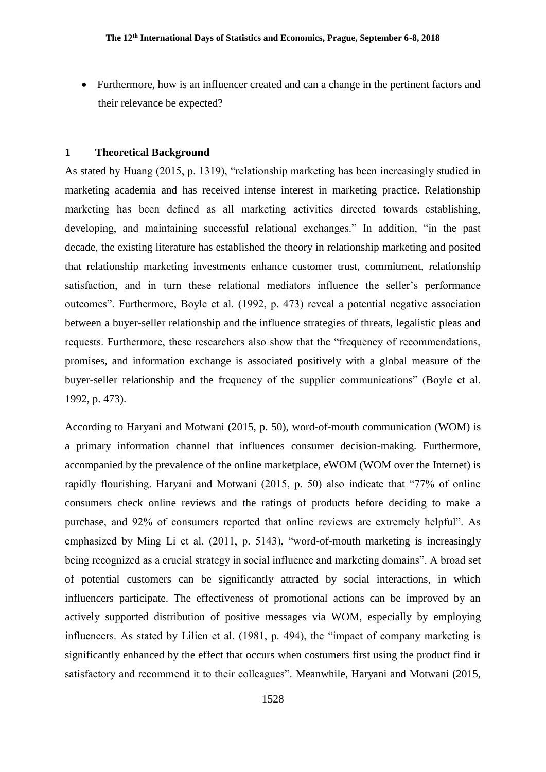• Furthermore, how is an influencer created and can a change in the pertinent factors and their relevance be expected?

#### **1 Theoretical Background**

As stated by Huang (2015, p. 1319), "relationship marketing has been increasingly studied in marketing academia and has received intense interest in marketing practice. Relationship marketing has been defined as all marketing activities directed towards establishing, developing, and maintaining successful relational exchanges." In addition, "in the past decade, the existing literature has established the theory in relationship marketing and posited that relationship marketing investments enhance customer trust, commitment, relationship satisfaction, and in turn these relational mediators influence the seller's performance outcomes". Furthermore, Boyle et al. (1992, p. 473) reveal a potential negative association between a buyer-seller relationship and the influence strategies of threats, legalistic pleas and requests. Furthermore, these researchers also show that the "frequency of recommendations, promises, and information exchange is associated positively with a global measure of the buyer-seller relationship and the frequency of the supplier communications" (Boyle et al. 1992, p. 473).

According to Haryani and Motwani (2015, p. 50), word-of-mouth communication (WOM) is a primary information channel that influences consumer decision-making. Furthermore, accompanied by the prevalence of the online marketplace, eWOM (WOM over the Internet) is rapidly flourishing. Haryani and Motwani (2015, p. 50) also indicate that "77% of online consumers check online reviews and the ratings of products before deciding to make a purchase, and 92% of consumers reported that online reviews are extremely helpful". As emphasized by Ming Li et al. (2011, p. 5143), "word-of-mouth marketing is increasingly being recognized as a crucial strategy in social influence and marketing domains". A broad set of potential customers can be significantly attracted by social interactions, in which influencers participate. The effectiveness of promotional actions can be improved by an actively supported distribution of positive messages via WOM, especially by employing influencers. As stated by Lilien et al. (1981, p. 494), the "impact of company marketing is significantly enhanced by the effect that occurs when costumers first using the product find it satisfactory and recommend it to their colleagues". Meanwhile, Haryani and Motwani (2015,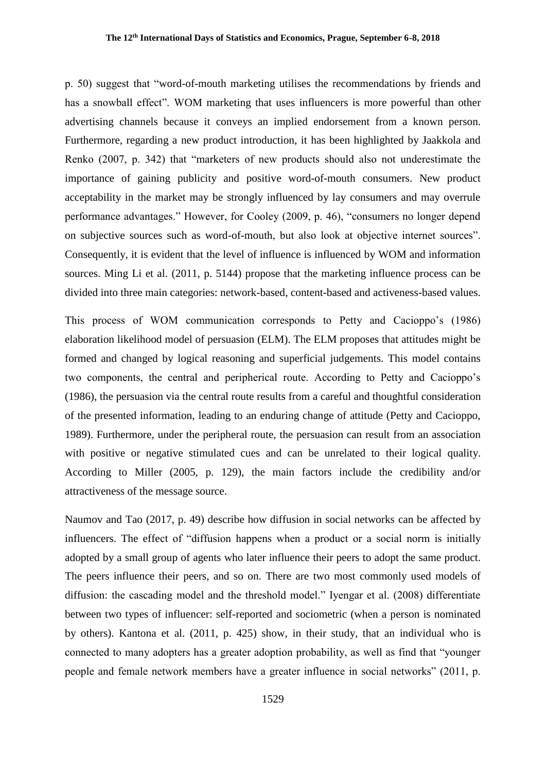p. 50) suggest that "word-of-mouth marketing utilises the recommendations by friends and has a snowball effect". WOM marketing that uses influencers is more powerful than other advertising channels because it conveys an implied endorsement from a known person. Furthermore, regarding a new product introduction, it has been highlighted by Jaakkola and Renko (2007, p. 342) that "marketers of new products should also not underestimate the importance of gaining publicity and positive word-of-mouth consumers. New product acceptability in the market may be strongly influenced by lay consumers and may overrule performance advantages." However, for Cooley (2009, p. 46), "consumers no longer depend on subjective sources such as word-of-mouth, but also look at objective internet sources". Consequently, it is evident that the level of influence is influenced by WOM and information sources. Ming Li et al. (2011, p. 5144) propose that the marketing influence process can be divided into three main categories: network-based, content-based and activeness-based values.

This process of WOM communication corresponds to Petty and Cacioppo's (1986) elaboration likelihood model of persuasion (ELM). The ELM proposes that attitudes might be formed and changed by logical reasoning and superficial judgements. This model contains two components, the central and peripherical route. According to Petty and Cacioppo's (1986), the persuasion via the central route results from a careful and thoughtful consideration of the presented information, leading to an enduring change of attitude (Petty and Cacioppo, 1989). Furthermore, under the peripheral route, the persuasion can result from an association with positive or negative stimulated cues and can be unrelated to their logical quality. According to Miller (2005, p. 129), the main factors include the credibility and/or attractiveness of the message source.

Naumov and Tao (2017, p. 49) describe how diffusion in social networks can be affected by influencers. The effect of "diffusion happens when a product or a social norm is initially adopted by a small group of agents who later influence their peers to adopt the same product. The peers influence their peers, and so on. There are two most commonly used models of diffusion: the cascading model and the threshold model." Iyengar et al. (2008) differentiate between two types of influencer: self-reported and sociometric (when a person is nominated by others). Kantona et al. (2011, p. 425) show, in their study, that an individual who is connected to many adopters has a greater adoption probability, as well as find that "younger people and female network members have a greater influence in social networks" (2011, p.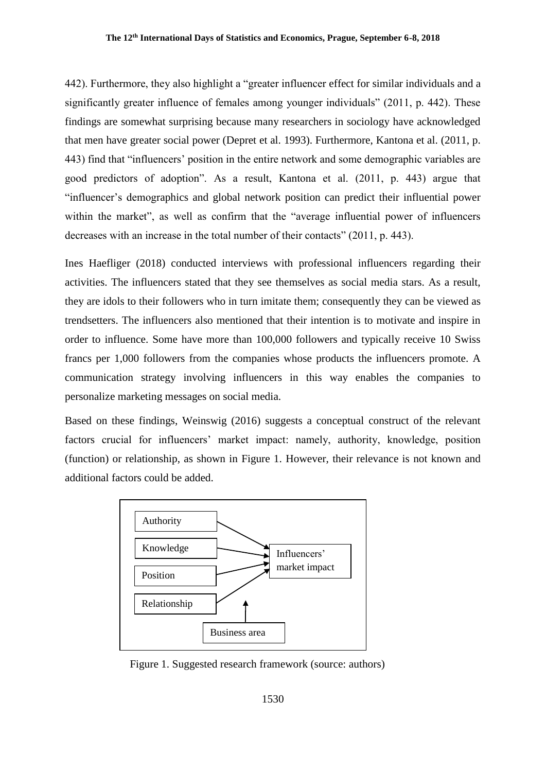442). Furthermore, they also highlight a "greater influencer effect for similar individuals and a significantly greater influence of females among younger individuals" (2011, p. 442). These findings are somewhat surprising because many researchers in sociology have acknowledged that men have greater social power (Depret et al. 1993). Furthermore, Kantona et al. (2011, p. 443) find that "influencers' position in the entire network and some demographic variables are good predictors of adoption". As a result, Kantona et al. (2011, p. 443) argue that "influencer's demographics and global network position can predict their influential power within the market", as well as confirm that the "average influential power of influencers decreases with an increase in the total number of their contacts" (2011, p. 443).

Ines Haefliger (2018) conducted interviews with professional influencers regarding their activities. The influencers stated that they see themselves as social media stars. As a result, they are idols to their followers who in turn imitate them; consequently they can be viewed as trendsetters. The influencers also mentioned that their intention is to motivate and inspire in order to influence. Some have more than 100,000 followers and typically receive 10 Swiss francs per 1,000 followers from the companies whose products the influencers promote. A communication strategy involving influencers in this way enables the companies to personalize marketing messages on social media.

Based on these findings, Weinswig (2016) suggests a conceptual construct of the relevant factors crucial for influencers' market impact: namely, authority, knowledge, position (function) or relationship, as shown in Figure 1. However, their relevance is not known and additional factors could be added.



Figure 1. Suggested research framework (source: authors)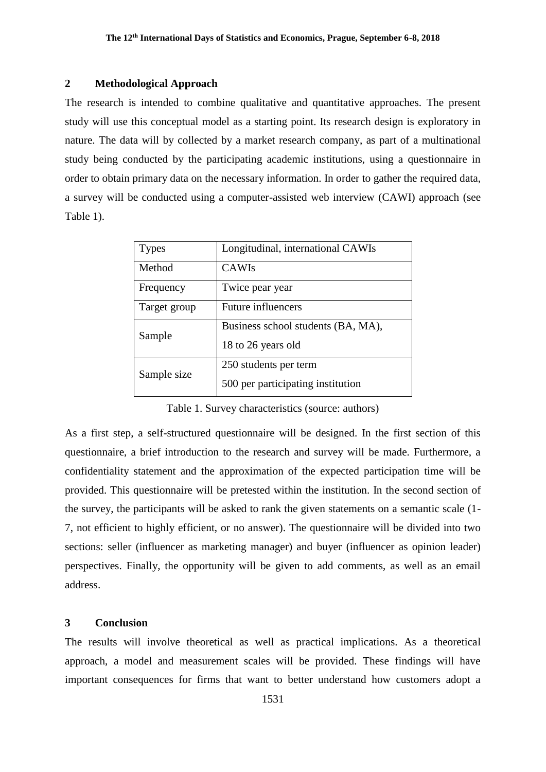## **2 Methodological Approach**

The research is intended to combine qualitative and quantitative approaches. The present study will use this conceptual model as a starting point. Its research design is exploratory in nature. The data will by collected by a market research company, as part of a multinational study being conducted by the participating academic institutions, using a questionnaire in order to obtain primary data on the necessary information. In order to gather the required data, a survey will be conducted using a computer-assisted web interview (CAWI) approach (see Table 1).

| <b>Types</b> | Longitudinal, international CAWIs  |
|--------------|------------------------------------|
| Method       | <b>CAWIs</b>                       |
| Frequency    | Twice pear year                    |
| Target group | <b>Future influencers</b>          |
| Sample       | Business school students (BA, MA), |
|              | 18 to 26 years old                 |
| Sample size  | 250 students per term              |
|              | 500 per participating institution  |

Table 1. Survey characteristics (source: authors)

As a first step, a self-structured questionnaire will be designed. In the first section of this questionnaire, a brief introduction to the research and survey will be made. Furthermore, a confidentiality statement and the approximation of the expected participation time will be provided. This questionnaire will be pretested within the institution. In the second section of the survey, the participants will be asked to rank the given statements on a semantic scale (1- 7, not efficient to highly efficient, or no answer). The questionnaire will be divided into two sections: seller (influencer as marketing manager) and buyer (influencer as opinion leader) perspectives. Finally, the opportunity will be given to add comments, as well as an email address.

#### **3 Conclusion**

The results will involve theoretical as well as practical implications. As a theoretical approach, a model and measurement scales will be provided. These findings will have important consequences for firms that want to better understand how customers adopt a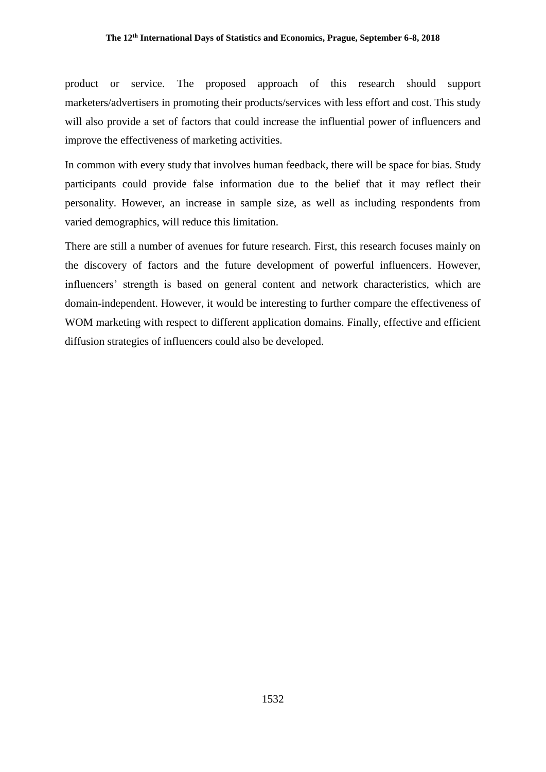## **The 12th International Days of Statistics and Economics, Prague, September 6-8, 2018**

product or service. The proposed approach of this research should support marketers/advertisers in promoting their products/services with less effort and cost. This study will also provide a set of factors that could increase the influential power of influencers and improve the effectiveness of marketing activities.

In common with every study that involves human feedback, there will be space for bias. Study participants could provide false information due to the belief that it may reflect their personality. However, an increase in sample size, as well as including respondents from varied demographics, will reduce this limitation.

There are still a number of avenues for future research. First, this research focuses mainly on the discovery of factors and the future development of powerful influencers. However, influencers' strength is based on general content and network characteristics, which are domain-independent. However, it would be interesting to further compare the effectiveness of WOM marketing with respect to different application domains. Finally, effective and efficient diffusion strategies of influencers could also be developed.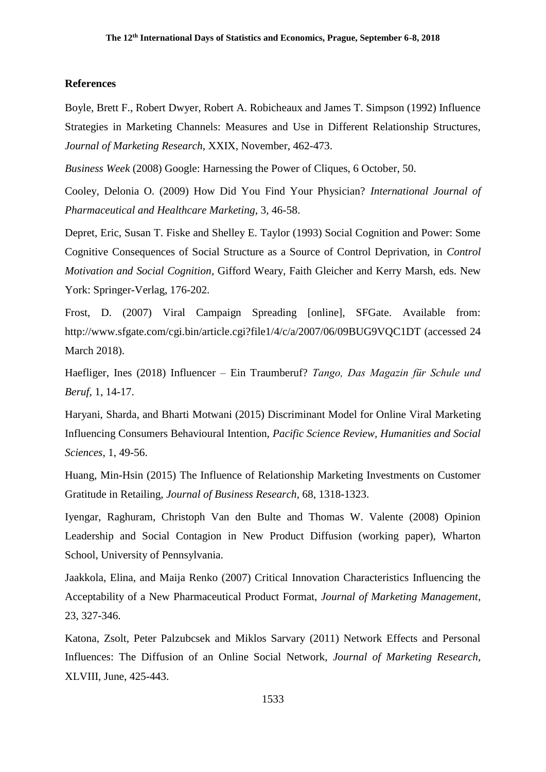#### **References**

Boyle, Brett F., Robert Dwyer, Robert A. Robicheaux and James T. Simpson (1992) Influence Strategies in Marketing Channels: Measures and Use in Different Relationship Structures, *Journal of Marketing Research*, XXIX, November, 462-473.

*Business Week* (2008) Google: Harnessing the Power of Cliques, 6 October, 50.

Cooley, Delonia O. (2009) How Did You Find Your Physician? *International Journal of Pharmaceutical and Healthcare Marketing*, 3, 46-58.

Depret, Eric, Susan T. Fiske and Shelley E. Taylor (1993) Social Cognition and Power: Some Cognitive Consequences of Social Structure as a Source of Control Deprivation, in *Control Motivation and Social Cognition*, Gifford Weary, Faith Gleicher and Kerry Marsh, eds. New York: Springer-Verlag, 176-202.

Frost, D. (2007) Viral Campaign Spreading [online], SFGate. Available from: <http://www.sfgate.com/cgi.bin/article.cgi?file1/4/c/a/2007/06/09BUG9VQC1DT> (accessed 24 March 2018).

Haefliger, Ines (2018) Influencer – Ein Traumberuf? *Tango, Das Magazin für Schule und Beruf*, 1, 14-17.

Haryani, Sharda, and Bharti Motwani (2015) Discriminant Model for Online Viral Marketing Influencing Consumers Behavioural Intention, *Pacific Science Review, Humanities and Social Sciences*, 1, 49-56.

Huang, Min-Hsin (2015) The Influence of Relationship Marketing Investments on Customer Gratitude in Retailing, *Journal of Business Research*, 68, 1318-1323.

Iyengar, Raghuram, Christoph Van den Bulte and Thomas W. Valente (2008) Opinion Leadership and Social Contagion in New Product Diffusion (working paper), Wharton School, University of Pennsylvania.

Jaakkola, Elina, and Maija Renko (2007) Critical Innovation Characteristics Influencing the Acceptability of a New Pharmaceutical Product Format, *Journal of Marketing Management*, 23, 327-346.

Katona, Zsolt, Peter Palzubcsek and Miklos Sarvary (2011) Network Effects and Personal Influences: The Diffusion of an Online Social Network, *Journal of Marketing Research*, XLVIII, June, 425-443.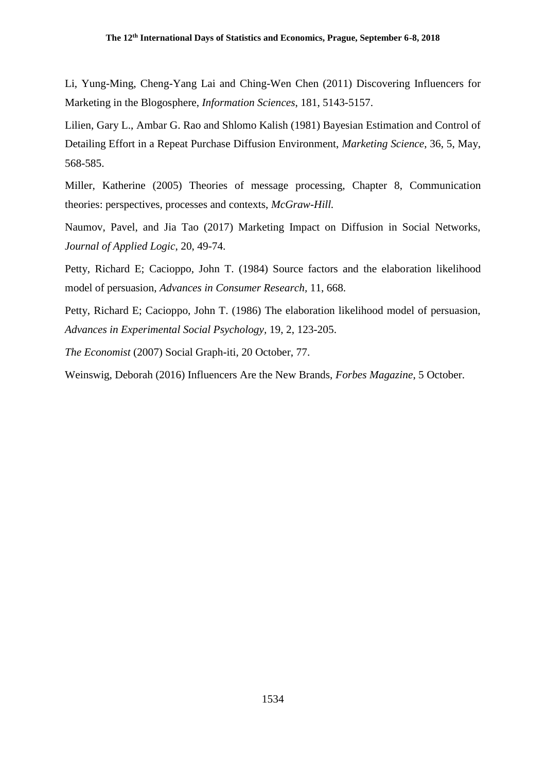Li, Yung-Ming, Cheng-Yang Lai and Ching-Wen Chen (2011) Discovering Influencers for Marketing in the Blogosphere, *Information Sciences*, 181, 5143-5157.

Lilien, Gary L., Ambar G. Rao and Shlomo Kalish (1981) Bayesian Estimation and Control of Detailing Effort in a Repeat Purchase Diffusion Environment, *Marketing Science*, 36, 5, May, 568-585.

Miller, Katherine (2005) Theories of message processing, Chapter 8, Communication theories: perspectives, processes and contexts, *McGraw-Hill.*

Naumov, Pavel, and Jia Tao (2017) Marketing Impact on Diffusion in Social Networks, *Journal of Applied Logic*, 20, 49-74.

Petty, Richard E; Cacioppo, John T. (1984) Source factors and the elaboration likelihood model of persuasion, *Advances in Consumer Research,* 11, 668.

Petty, Richard E; Cacioppo, John T. (1986) The elaboration likelihood model of persuasion, *Advances in Experimental Social Psychology,* 19, 2, 123-205.

*The Economist* (2007) Social Graph-iti, 20 October, 77.

Weinswig, Deborah (2016) Influencers Are the New Brands, *Forbes Magazine*, 5 October.